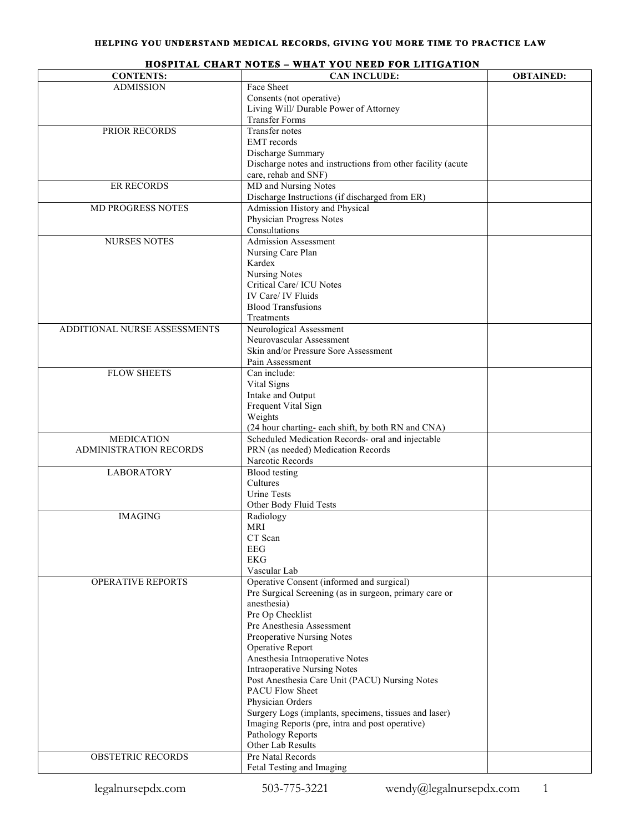| <b>CONTENTS:</b>              | <b>CAN INCLUDE:</b>                                                    | <b>OBTAINED:</b> |
|-------------------------------|------------------------------------------------------------------------|------------------|
| <b>ADMISSION</b>              | Face Sheet                                                             |                  |
|                               | Consents (not operative)                                               |                  |
|                               | Living Will/ Durable Power of Attorney                                 |                  |
|                               | <b>Transfer Forms</b>                                                  |                  |
| PRIOR RECORDS                 | Transfer notes                                                         |                  |
|                               | <b>EMT</b> records                                                     |                  |
|                               | Discharge Summary                                                      |                  |
|                               | Discharge notes and instructions from other facility (acute            |                  |
|                               | care, rehab and SNF)                                                   |                  |
| <b>ER RECORDS</b>             | MD and Nursing Notes                                                   |                  |
|                               | Discharge Instructions (if discharged from ER)                         |                  |
| <b>MD PROGRESS NOTES</b>      | Admission History and Physical                                         |                  |
|                               | Physician Progress Notes                                               |                  |
|                               | Consultations                                                          |                  |
| <b>NURSES NOTES</b>           | Admission Assessment                                                   |                  |
|                               | Nursing Care Plan                                                      |                  |
|                               | Kardex                                                                 |                  |
|                               | <b>Nursing Notes</b>                                                   |                  |
|                               | Critical Care/ ICU Notes                                               |                  |
|                               | IV Care/ IV Fluids<br><b>Blood Transfusions</b>                        |                  |
|                               |                                                                        |                  |
| ADDITIONAL NURSE ASSESSMENTS  | Treatments                                                             |                  |
|                               | Neurological Assessment<br>Neurovascular Assessment                    |                  |
|                               | Skin and/or Pressure Sore Assessment                                   |                  |
|                               | Pain Assessment                                                        |                  |
| <b>FLOW SHEETS</b>            | Can include:                                                           |                  |
|                               | Vital Signs                                                            |                  |
|                               | Intake and Output                                                      |                  |
|                               | Frequent Vital Sign                                                    |                  |
|                               | Weights                                                                |                  |
|                               | (24 hour charting-each shift, by both RN and CNA)                      |                  |
| <b>MEDICATION</b>             | Scheduled Medication Records- oral and injectable                      |                  |
| <b>ADMINISTRATION RECORDS</b> | PRN (as needed) Medication Records                                     |                  |
|                               | Narcotic Records                                                       |                  |
| <b>LABORATORY</b>             | <b>Blood</b> testing                                                   |                  |
|                               | Cultures                                                               |                  |
|                               | <b>Urine Tests</b>                                                     |                  |
|                               | Other Body Fluid Tests                                                 |                  |
| <b>IMAGING</b>                | Radiology                                                              |                  |
|                               | MRI                                                                    |                  |
|                               | CT Scan                                                                |                  |
|                               | EEG                                                                    |                  |
|                               | <b>EKG</b>                                                             |                  |
|                               | Vascular Lab                                                           |                  |
| <b>OPERATIVE REPORTS</b>      | Operative Consent (informed and surgical)                              |                  |
|                               | Pre Surgical Screening (as in surgeon, primary care or                 |                  |
|                               | anesthesia)                                                            |                  |
|                               | Pre Op Checklist                                                       |                  |
|                               | Pre Anesthesia Assessment                                              |                  |
|                               | Preoperative Nursing Notes                                             |                  |
|                               | Operative Report                                                       |                  |
|                               | Anesthesia Intraoperative Notes<br><b>Intraoperative Nursing Notes</b> |                  |
|                               | Post Anesthesia Care Unit (PACU) Nursing Notes                         |                  |
|                               | <b>PACU Flow Sheet</b>                                                 |                  |
|                               | Physician Orders                                                       |                  |
|                               | Surgery Logs (implants, specimens, tissues and laser)                  |                  |
|                               | Imaging Reports (pre, intra and post operative)                        |                  |
|                               | Pathology Reports                                                      |                  |
|                               | Other Lab Results                                                      |                  |
| <b>OBSTETRIC RECORDS</b>      | Pre Natal Records                                                      |                  |
|                               | Fetal Testing and Imaging                                              |                  |
|                               |                                                                        |                  |

## **HOSPITAL CHART NOTES – WHAT YOU NEED FOR LITIGATION**